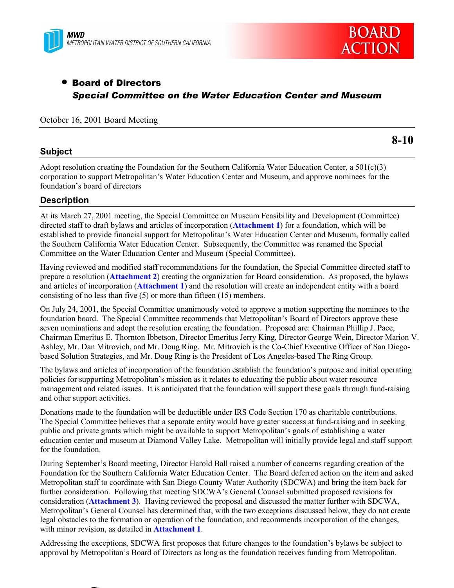



# • Board of Directors *Special Committee on the Water Education Center and Museum*

# October 16, 2001 Board Meeting

# **Subject**

**8-10**

Adopt resolution creating the Foundation for the Southern California Water Education Center, a 501(c)(3) corporation to support Metropolitanís Water Education Center and Museum, and approve nominees for the foundation's board of directors

# **Description**

At its March 27, 2001 meeting, the Special Committee on Museum Feasibility and Development (Committee) directed staff to draft bylaws and articles of incorporation (**Attachment 1**) for a foundation, which will be established to provide financial support for Metropolitan's Water Education Center and Museum, formally called the Southern California Water Education Center. Subsequently, the Committee was renamed the Special Committee on the Water Education Center and Museum (Special Committee).

Having reviewed and modified staff recommendations for the foundation, the Special Committee directed staff to prepare a resolution (**Attachment 2**) creating the organization for Board consideration. As proposed, the bylaws and articles of incorporation (**Attachment 1**) and the resolution will create an independent entity with a board consisting of no less than five (5) or more than fifteen (15) members.

On July 24, 2001, the Special Committee unanimously voted to approve a motion supporting the nominees to the foundation board. The Special Committee recommends that Metropolitan's Board of Directors approve these seven nominations and adopt the resolution creating the foundation. Proposed are: Chairman Phillip J. Pace, Chairman Emeritus E. Thornton Ibbetson, Director Emeritus Jerry King, Director George Wein, Director Marion V. Ashley, Mr. Dan Mitrovich, and Mr. Doug Ring. Mr. Mitrovich is the Co-Chief Executive Officer of San Diegobased Solution Strategies, and Mr. Doug Ring is the President of Los Angeles-based The Ring Group.

The bylaws and articles of incorporation of the foundation establish the foundation's purpose and initial operating policies for supporting Metropolitan's mission as it relates to educating the public about water resource management and related issues. It is anticipated that the foundation will support these goals through fund-raising and other support activities.

Donations made to the foundation will be deductible under IRS Code Section 170 as charitable contributions. The Special Committee believes that a separate entity would have greater success at fund-raising and in seeking public and private grants which might be available to support Metropolitan's goals of establishing a water education center and museum at Diamond Valley Lake. Metropolitan will initially provide legal and staff support for the foundation.

During September's Board meeting, Director Harold Ball raised a number of concerns regarding creation of the Foundation for the Southern California Water Education Center. The Board deferred action on the item and asked Metropolitan staff to coordinate with San Diego County Water Authority (SDCWA) and bring the item back for further consideration. Following that meeting SDCWA's General Counsel submitted proposed revisions for consideration (**Attachment 3**). Having reviewed the proposal and discussed the matter further with SDCWA, Metropolitan's General Counsel has determined that, with the two exceptions discussed below, they do not create legal obstacles to the formation or operation of the foundation, and recommends incorporation of the changes, with minor revision, as detailed in **Attachment 1**.

Addressing the exceptions, SDCWA first proposes that future changes to the foundation's bylaws be subject to approval by Metropolitanís Board of Directors as long as the foundation receives funding from Metropolitan.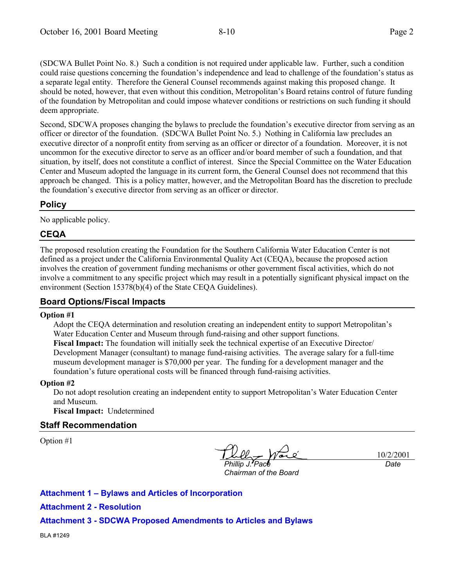(SDCWA Bullet Point No. 8.) Such a condition is not required under applicable law. Further, such a condition could raise questions concerning the foundation's independence and lead to challenge of the foundation's status as a separate legal entity. Therefore the General Counsel recommends against making this proposed change. It should be noted, however, that even without this condition, Metropolitan's Board retains control of future funding of the foundation by Metropolitan and could impose whatever conditions or restrictions on such funding it should deem appropriate.

Second, SDCWA proposes changing the bylaws to preclude the foundation's executive director from serving as an officer or director of the foundation. (SDCWA Bullet Point No. 5.) Nothing in California law precludes an executive director of a nonprofit entity from serving as an officer or director of a foundation. Moreover, it is not uncommon for the executive director to serve as an officer and/or board member of such a foundation, and that situation, by itself, does not constitute a conflict of interest. Since the Special Committee on the Water Education Center and Museum adopted the language in its current form, the General Counsel does not recommend that this approach be changed. This is a policy matter, however, and the Metropolitan Board has the discretion to preclude the foundation's executive director from serving as an officer or director.

# **Policy**

No applicable policy.

# **CEQA**

The proposed resolution creating the Foundation for the Southern California Water Education Center is not defined as a project under the California Environmental Quality Act (CEQA), because the proposed action involves the creation of government funding mechanisms or other government fiscal activities, which do not involve a commitment to any specific project which may result in a potentially significant physical impact on the environment (Section 15378(b)(4) of the State CEQA Guidelines).

# **Board Options/Fiscal Impacts**

#### **Option #1**

Adopt the CEQA determination and resolution creating an independent entity to support Metropolitanís Water Education Center and Museum through fund-raising and other support functions. **Fiscal Impact:** The foundation will initially seek the technical expertise of an Executive Director/ Development Manager (consultant) to manage fund-raising activities. The average salary for a full-time museum development manager is \$70,000 per year. The funding for a development manager and the foundation's future operational costs will be financed through fund-raising activities.

#### **Option #2**

Do not adopt resolution creating an independent entity to support Metropolitan's Water Education Center and Museum.

**Fiscal Impact:** Undetermined

# **Staff Recommendation**

Option #1

*Phillip J. Pace*

10/2/2001 *Date*

*Chairman of the Board*

# **Attachment 1 – Bylaws and Articles of Incorporation**

# **Attachment 2 - Resolution**

**Attachment 3 - SDCWA Proposed Amendments to Articles and Bylaws**

BLA #1249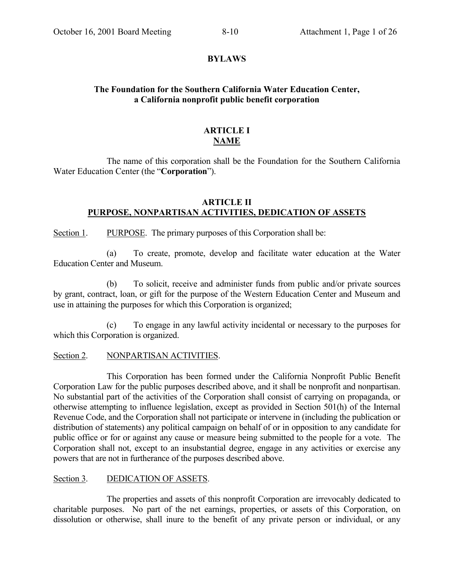# **BYLAWS**

# **The Foundation for the Southern California Water Education Center, a California nonprofit public benefit corporation**

# **ARTICLE I NAME**

The name of this corporation shall be the Foundation for the Southern California Water Education Center (the "**Corporation**").

# **ARTICLE II PURPOSE, NONPARTISAN ACTIVITIES, DEDICATION OF ASSETS**

Section 1. PURPOSE. The primary purposes of this Corporation shall be:

(a) To create, promote, develop and facilitate water education at the Water Education Center and Museum.

(b) To solicit, receive and administer funds from public and/or private sources by grant, contract, loan, or gift for the purpose of the Western Education Center and Museum and use in attaining the purposes for which this Corporation is organized;

(c) To engage in any lawful activity incidental or necessary to the purposes for which this Corporation is organized.

# Section 2. NONPARTISAN ACTIVITIES.

This Corporation has been formed under the California Nonprofit Public Benefit Corporation Law for the public purposes described above, and it shall be nonprofit and nonpartisan. No substantial part of the activities of the Corporation shall consist of carrying on propaganda, or otherwise attempting to influence legislation, except as provided in Section 501(h) of the Internal Revenue Code, and the Corporation shall not participate or intervene in (including the publication or distribution of statements) any political campaign on behalf of or in opposition to any candidate for public office or for or against any cause or measure being submitted to the people for a vote. The Corporation shall not, except to an insubstantial degree, engage in any activities or exercise any powers that are not in furtherance of the purposes described above.

# Section 3. DEDICATION OF ASSETS.

The properties and assets of this nonprofit Corporation are irrevocably dedicated to charitable purposes. No part of the net earnings, properties, or assets of this Corporation, on dissolution or otherwise, shall inure to the benefit of any private person or individual, or any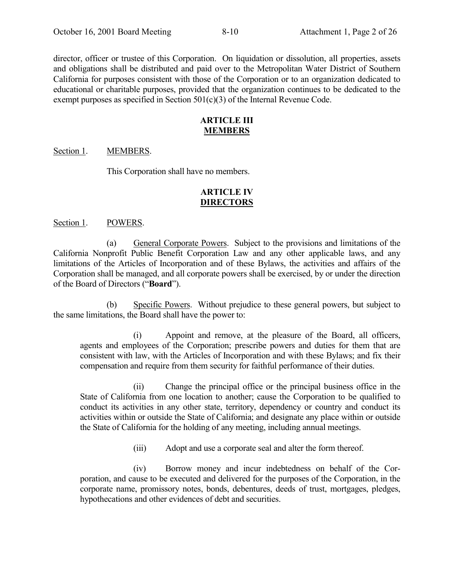director, officer or trustee of this Corporation. On liquidation or dissolution, all properties, assets and obligations shall be distributed and paid over to the Metropolitan Water District of Southern California for purposes consistent with those of the Corporation or to an organization dedicated to educational or charitable purposes, provided that the organization continues to be dedicated to the exempt purposes as specified in Section 501(c)(3) of the Internal Revenue Code.

# **ARTICLE III MEMBERS**

# Section 1. MEMBERS.

This Corporation shall have no members.

# **ARTICLE IV DIRECTORS**

#### Section 1. POWERS.

(a) General Corporate Powers. Subject to the provisions and limitations of the California Nonprofit Public Benefit Corporation Law and any other applicable laws, and any limitations of the Articles of Incorporation and of these Bylaws, the activities and affairs of the Corporation shall be managed, and all corporate powers shall be exercised, by or under the direction of the Board of Directors ("**Board**").

(b) Specific Powers. Without prejudice to these general powers, but subject to the same limitations, the Board shall have the power to:

(i) Appoint and remove, at the pleasure of the Board, all officers, agents and employees of the Corporation; prescribe powers and duties for them that are consistent with law, with the Articles of Incorporation and with these Bylaws; and fix their compensation and require from them security for faithful performance of their duties.

(ii) Change the principal office or the principal business office in the State of California from one location to another; cause the Corporation to be qualified to conduct its activities in any other state, territory, dependency or country and conduct its activities within or outside the State of California; and designate any place within or outside the State of California for the holding of any meeting, including annual meetings.

(iii) Adopt and use a corporate seal and alter the form thereof.

(iv) Borrow money and incur indebtedness on behalf of the Corporation, and cause to be executed and delivered for the purposes of the Corporation, in the corporate name, promissory notes, bonds, debentures, deeds of trust, mortgages, pledges, hypothecations and other evidences of debt and securities.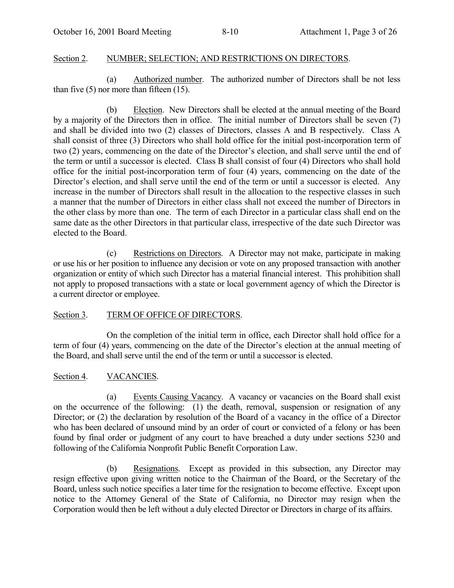# Section 2. NUMBER; SELECTION; AND RESTRICTIONS ON DIRECTORS.

(a) Authorized number. The authorized number of Directors shall be not less than five  $(5)$  nor more than fifteen  $(15)$ .

(b) Election. New Directors shall be elected at the annual meeting of the Board by a majority of the Directors then in office. The initial number of Directors shall be seven (7) and shall be divided into two (2) classes of Directors, classes A and B respectively. Class A shall consist of three (3) Directors who shall hold office for the initial post-incorporation term of two (2) years, commencing on the date of the Director's election, and shall serve until the end of the term or until a successor is elected. Class B shall consist of four (4) Directors who shall hold office for the initial post-incorporation term of four (4) years, commencing on the date of the Director's election, and shall serve until the end of the term or until a successor is elected. Any increase in the number of Directors shall result in the allocation to the respective classes in such a manner that the number of Directors in either class shall not exceed the number of Directors in the other class by more than one. The term of each Director in a particular class shall end on the same date as the other Directors in that particular class, irrespective of the date such Director was elected to the Board.

(c) Restrictions on Directors. A Director may not make, participate in making or use his or her position to influence any decision or vote on any proposed transaction with another organization or entity of which such Director has a material financial interest. This prohibition shall not apply to proposed transactions with a state or local government agency of which the Director is a current director or employee.

# Section 3. TERM OF OFFICE OF DIRECTORS.

On the completion of the initial term in office, each Director shall hold office for a term of four (4) years, commencing on the date of the Director's election at the annual meeting of the Board, and shall serve until the end of the term or until a successor is elected.

# Section 4. VACANCIES.

(a) Events Causing Vacancy. A vacancy or vacancies on the Board shall exist on the occurrence of the following: (1) the death, removal, suspension or resignation of any Director; or (2) the declaration by resolution of the Board of a vacancy in the office of a Director who has been declared of unsound mind by an order of court or convicted of a felony or has been found by final order or judgment of any court to have breached a duty under sections 5230 and following of the California Nonprofit Public Benefit Corporation Law.

(b) Resignations. Except as provided in this subsection, any Director may resign effective upon giving written notice to the Chairman of the Board, or the Secretary of the Board, unless such notice specifies a later time for the resignation to become effective. Except upon notice to the Attorney General of the State of California, no Director may resign when the Corporation would then be left without a duly elected Director or Directors in charge of its affairs.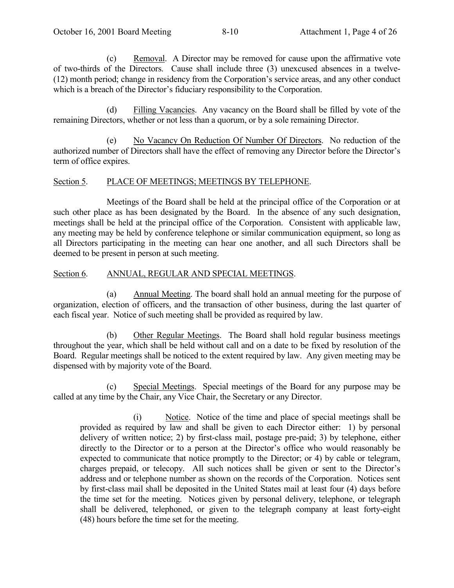(c) Removal. A Director may be removed for cause upon the affirmative vote of two-thirds of the Directors. Cause shall include three (3) unexcused absences in a twelve-  $(12)$  month period; change in residency from the Corporation's service areas, and any other conduct which is a breach of the Director's fiduciary responsibility to the Corporation.

(d) Filling Vacancies. Any vacancy on the Board shall be filled by vote of the remaining Directors, whether or not less than a quorum, or by a sole remaining Director.

(e) No Vacancy On Reduction Of Number Of Directors. No reduction of the authorized number of Directors shall have the effect of removing any Director before the Director's term of office expires.

# Section 5. PLACE OF MEETINGS; MEETINGS BY TELEPHONE.

Meetings of the Board shall be held at the principal office of the Corporation or at such other place as has been designated by the Board. In the absence of any such designation, meetings shall be held at the principal office of the Corporation. Consistent with applicable law, any meeting may be held by conference telephone or similar communication equipment, so long as all Directors participating in the meeting can hear one another, and all such Directors shall be deemed to be present in person at such meeting.

# Section 6. ANNUAL, REGULAR AND SPECIAL MEETINGS.

(a) Annual Meeting. The board shall hold an annual meeting for the purpose of organization, election of officers, and the transaction of other business, during the last quarter of each fiscal year. Notice of such meeting shall be provided as required by law.

(b) Other Regular Meetings. The Board shall hold regular business meetings throughout the year, which shall be held without call and on a date to be fixed by resolution of the Board. Regular meetings shall be noticed to the extent required by law. Any given meeting may be dispensed with by majority vote of the Board.

(c) Special Meetings. Special meetings of the Board for any purpose may be called at any time by the Chair, any Vice Chair, the Secretary or any Director.

(i) Notice. Notice of the time and place of special meetings shall be provided as required by law and shall be given to each Director either: 1) by personal delivery of written notice; 2) by first-class mail, postage pre-paid; 3) by telephone, either directly to the Director or to a person at the Director's office who would reasonably be expected to communicate that notice promptly to the Director; or 4) by cable or telegram, charges prepaid, or telecopy. All such notices shall be given or sent to the Director's address and or telephone number as shown on the records of the Corporation. Notices sent by first-class mail shall be deposited in the United States mail at least four (4) days before the time set for the meeting. Notices given by personal delivery, telephone, or telegraph shall be delivered, telephoned, or given to the telegraph company at least forty-eight (48) hours before the time set for the meeting.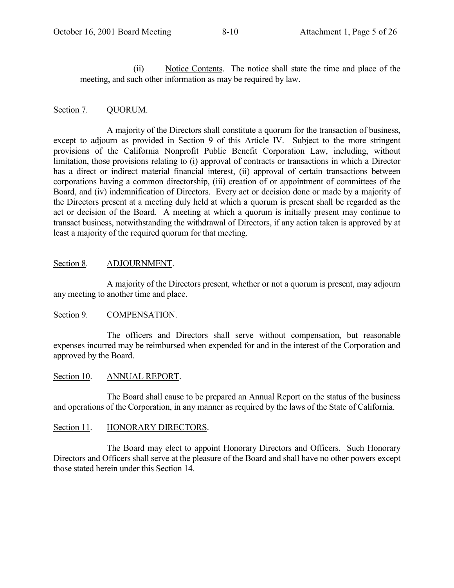(ii) Notice Contents. The notice shall state the time and place of the meeting, and such other information as may be required by law.

# Section 7. QUORUM.

A majority of the Directors shall constitute a quorum for the transaction of business, except to adjourn as provided in Section 9 of this Article IV. Subject to the more stringent provisions of the California Nonprofit Public Benefit Corporation Law, including, without limitation, those provisions relating to (i) approval of contracts or transactions in which a Director has a direct or indirect material financial interest, (ii) approval of certain transactions between corporations having a common directorship, (iii) creation of or appointment of committees of the Board, and (iv) indemnification of Directors. Every act or decision done or made by a majority of the Directors present at a meeting duly held at which a quorum is present shall be regarded as the act or decision of the Board. A meeting at which a quorum is initially present may continue to transact business, notwithstanding the withdrawal of Directors, if any action taken is approved by at least a majority of the required quorum for that meeting.

# Section 8. ADJOURNMENT.

A majority of the Directors present, whether or not a quorum is present, may adjourn any meeting to another time and place.

# Section 9. COMPENSATION.

The officers and Directors shall serve without compensation, but reasonable expenses incurred may be reimbursed when expended for and in the interest of the Corporation and approved by the Board.

# Section 10. ANNUAL REPORT.

The Board shall cause to be prepared an Annual Report on the status of the business and operations of the Corporation, in any manner as required by the laws of the State of California.

# Section 11. HONORARY DIRECTORS.

The Board may elect to appoint Honorary Directors and Officers. Such Honorary Directors and Officers shall serve at the pleasure of the Board and shall have no other powers except those stated herein under this Section 14.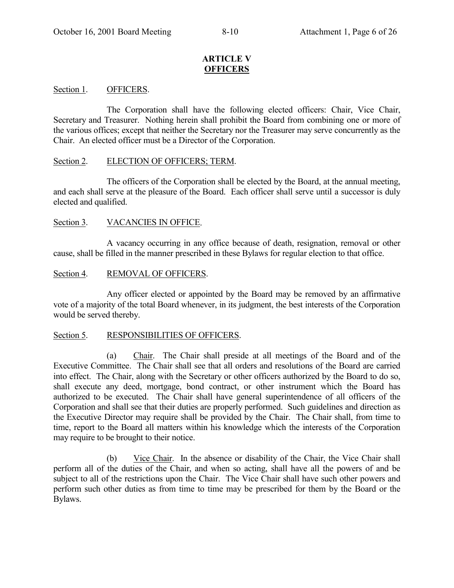# **ARTICLE V OFFICERS**

# Section 1. **OFFICERS.**

The Corporation shall have the following elected officers: Chair, Vice Chair, Secretary and Treasurer. Nothing herein shall prohibit the Board from combining one or more of the various offices; except that neither the Secretary nor the Treasurer may serve concurrently as the Chair. An elected officer must be a Director of the Corporation.

# Section 2. ELECTION OF OFFICERS; TERM.

The officers of the Corporation shall be elected by the Board, at the annual meeting, and each shall serve at the pleasure of the Board. Each officer shall serve until a successor is duly elected and qualified.

# Section 3. VACANCIES IN OFFICE.

A vacancy occurring in any office because of death, resignation, removal or other cause, shall be filled in the manner prescribed in these Bylaws for regular election to that office.

# Section 4. REMOVAL OF OFFICERS.

Any officer elected or appointed by the Board may be removed by an affirmative vote of a majority of the total Board whenever, in its judgment, the best interests of the Corporation would be served thereby.

# Section 5. RESPONSIBILITIES OF OFFICERS.

(a) Chair. The Chair shall preside at all meetings of the Board and of the Executive Committee. The Chair shall see that all orders and resolutions of the Board are carried into effect. The Chair, along with the Secretary or other officers authorized by the Board to do so, shall execute any deed, mortgage, bond contract, or other instrument which the Board has authorized to be executed. The Chair shall have general superintendence of all officers of the Corporation and shall see that their duties are properly performed. Such guidelines and direction as the Executive Director may require shall be provided by the Chair. The Chair shall, from time to time, report to the Board all matters within his knowledge which the interests of the Corporation may require to be brought to their notice.

(b) Vice Chair. In the absence or disability of the Chair, the Vice Chair shall perform all of the duties of the Chair, and when so acting, shall have all the powers of and be subject to all of the restrictions upon the Chair. The Vice Chair shall have such other powers and perform such other duties as from time to time may be prescribed for them by the Board or the Bylaws.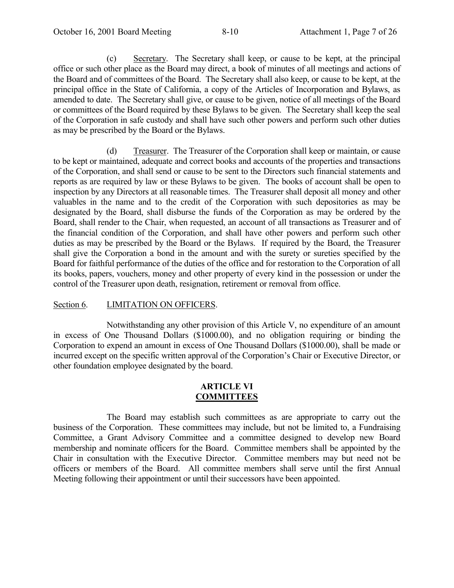(c) Secretary. The Secretary shall keep, or cause to be kept, at the principal office or such other place as the Board may direct, a book of minutes of all meetings and actions of the Board and of committees of the Board. The Secretary shall also keep, or cause to be kept, at the principal office in the State of California, a copy of the Articles of Incorporation and Bylaws, as amended to date. The Secretary shall give, or cause to be given, notice of all meetings of the Board or committees of the Board required by these Bylaws to be given. The Secretary shall keep the seal of the Corporation in safe custody and shall have such other powers and perform such other duties as may be prescribed by the Board or the Bylaws.

(d) Treasurer. The Treasurer of the Corporation shall keep or maintain, or cause to be kept or maintained, adequate and correct books and accounts of the properties and transactions of the Corporation, and shall send or cause to be sent to the Directors such financial statements and reports as are required by law or these Bylaws to be given. The books of account shall be open to inspection by any Directors at all reasonable times. The Treasurer shall deposit all money and other valuables in the name and to the credit of the Corporation with such depositories as may be designated by the Board, shall disburse the funds of the Corporation as may be ordered by the Board, shall render to the Chair, when requested, an account of all transactions as Treasurer and of the financial condition of the Corporation, and shall have other powers and perform such other duties as may be prescribed by the Board or the Bylaws. If required by the Board, the Treasurer shall give the Corporation a bond in the amount and with the surety or sureties specified by the Board for faithful performance of the duties of the office and for restoration to the Corporation of all its books, papers, vouchers, money and other property of every kind in the possession or under the control of the Treasurer upon death, resignation, retirement or removal from office.

# Section 6. LIMITATION ON OFFICERS.

Notwithstanding any other provision of this Article V, no expenditure of an amount in excess of One Thousand Dollars (\$1000.00), and no obligation requiring or binding the Corporation to expend an amount in excess of One Thousand Dollars (\$1000.00), shall be made or incurred except on the specific written approval of the Corporation's Chair or Executive Director, or other foundation employee designated by the board.

#### **ARTICLE VI COMMITTEES**

The Board may establish such committees as are appropriate to carry out the business of the Corporation. These committees may include, but not be limited to, a Fundraising Committee, a Grant Advisory Committee and a committee designed to develop new Board membership and nominate officers for the Board. Committee members shall be appointed by the Chair in consultation with the Executive Director. Committee members may but need not be officers or members of the Board. All committee members shall serve until the first Annual Meeting following their appointment or until their successors have been appointed.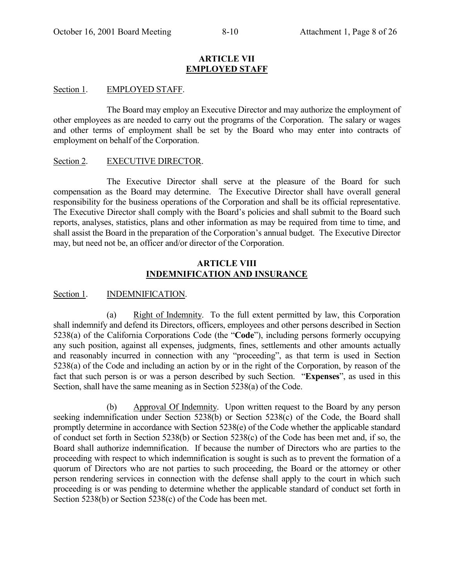#### **ARTICLE VII EMPLOYED STAFF**

### Section 1. EMPLOYED STAFF.

The Board may employ an Executive Director and may authorize the employment of other employees as are needed to carry out the programs of the Corporation. The salary or wages and other terms of employment shall be set by the Board who may enter into contracts of employment on behalf of the Corporation.

#### Section 2. EXECUTIVE DIRECTOR.

The Executive Director shall serve at the pleasure of the Board for such compensation as the Board may determine. The Executive Director shall have overall general responsibility for the business operations of the Corporation and shall be its official representative. The Executive Director shall comply with the Board's policies and shall submit to the Board such reports, analyses, statistics, plans and other information as may be required from time to time, and shall assist the Board in the preparation of the Corporation's annual budget. The Executive Director may, but need not be, an officer and/or director of the Corporation.

# **ARTICLE VIII INDEMNIFICATION AND INSURANCE**

# Section 1. **INDEMNIFICATION.**

(a) Right of Indemnity. To the full extent permitted by law, this Corporation shall indemnify and defend its Directors, officers, employees and other persons described in Section 5238(a) of the California Corporations Code (the "**Code**"), including persons formerly occupying any such position, against all expenses, judgments, fines, settlements and other amounts actually and reasonably incurred in connection with any "proceeding", as that term is used in Section 5238(a) of the Code and including an action by or in the right of the Corporation, by reason of the fact that such person is or was a person described by such Section. *Expenses*<sup>*n*</sup>, as used in this Section, shall have the same meaning as in Section 5238(a) of the Code.

(b) Approval Of Indemnity. Upon written request to the Board by any person seeking indemnification under Section 5238(b) or Section 5238(c) of the Code, the Board shall promptly determine in accordance with Section 5238(e) of the Code whether the applicable standard of conduct set forth in Section 5238(b) or Section 5238(c) of the Code has been met and, if so, the Board shall authorize indemnification. If because the number of Directors who are parties to the proceeding with respect to which indemnification is sought is such as to prevent the formation of a quorum of Directors who are not parties to such proceeding, the Board or the attorney or other person rendering services in connection with the defense shall apply to the court in which such proceeding is or was pending to determine whether the applicable standard of conduct set forth in Section 5238(b) or Section 5238(c) of the Code has been met.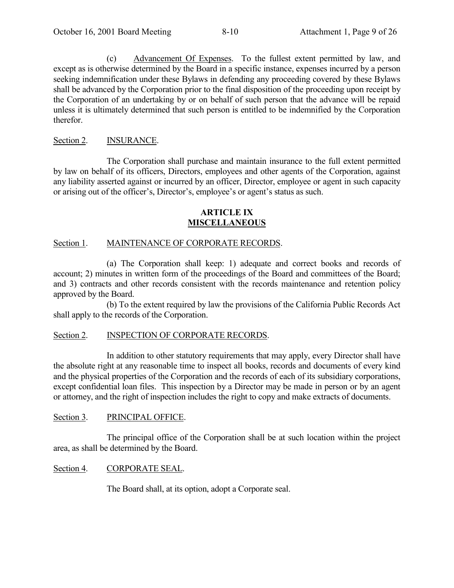(c) Advancement Of Expenses. To the fullest extent permitted by law, and except as is otherwise determined by the Board in a specific instance, expenses incurred by a person seeking indemnification under these Bylaws in defending any proceeding covered by these Bylaws shall be advanced by the Corporation prior to the final disposition of the proceeding upon receipt by the Corporation of an undertaking by or on behalf of such person that the advance will be repaid unless it is ultimately determined that such person is entitled to be indemnified by the Corporation therefor.

# Section 2. **INSURANCE.**

The Corporation shall purchase and maintain insurance to the full extent permitted by law on behalf of its officers, Directors, employees and other agents of the Corporation, against any liability asserted against or incurred by an officer, Director, employee or agent in such capacity or arising out of the officer's, Director's, employee's or agent's status as such.

# **ARTICLE IX MISCELLANEOUS**

# Section 1. MAINTENANCE OF CORPORATE RECORDS.

(a) The Corporation shall keep: 1) adequate and correct books and records of account; 2) minutes in written form of the proceedings of the Board and committees of the Board; and 3) contracts and other records consistent with the records maintenance and retention policy approved by the Board.

(b) To the extent required by law the provisions of the California Public Records Act shall apply to the records of the Corporation.

# Section 2. **INSPECTION OF CORPORATE RECORDS.**

In addition to other statutory requirements that may apply, every Director shall have the absolute right at any reasonable time to inspect all books, records and documents of every kind and the physical properties of the Corporation and the records of each of its subsidiary corporations, except confidential loan files. This inspection by a Director may be made in person or by an agent or attorney, and the right of inspection includes the right to copy and make extracts of documents.

# Section 3. PRINCIPAL OFFICE.

The principal office of the Corporation shall be at such location within the project area, as shall be determined by the Board.

# Section 4. CORPORATE SEAL.

The Board shall, at its option, adopt a Corporate seal.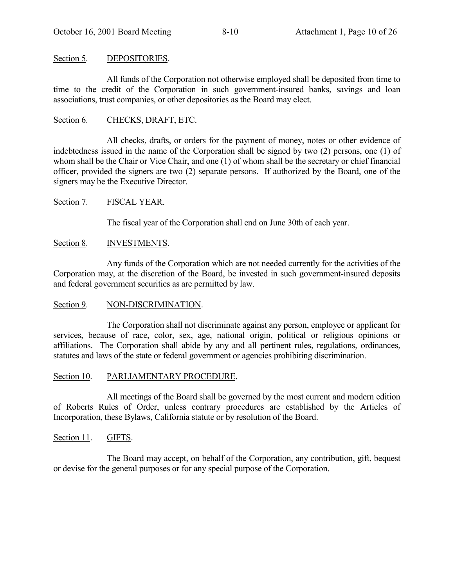# Section 5. DEPOSITORIES.

All funds of the Corporation not otherwise employed shall be deposited from time to time to the credit of the Corporation in such government-insured banks, savings and loan associations, trust companies, or other depositories as the Board may elect.

# Section 6. CHECKS, DRAFT, ETC.

All checks, drafts, or orders for the payment of money, notes or other evidence of indebtedness issued in the name of the Corporation shall be signed by two (2) persons, one (1) of whom shall be the Chair or Vice Chair, and one (1) of whom shall be the secretary or chief financial officer, provided the signers are two (2) separate persons. If authorized by the Board, one of the signers may be the Executive Director.

# Section 7. FISCAL YEAR.

The fiscal year of the Corporation shall end on June 30th of each year.

# Section 8. **INVESTMENTS.**

Any funds of the Corporation which are not needed currently for the activities of the Corporation may, at the discretion of the Board, be invested in such government-insured deposits and federal government securities as are permitted by law.

# Section 9. NON-DISCRIMINATION.

The Corporation shall not discriminate against any person, employee or applicant for services, because of race, color, sex, age, national origin, political or religious opinions or affiliations. The Corporation shall abide by any and all pertinent rules, regulations, ordinances, statutes and laws of the state or federal government or agencies prohibiting discrimination.

# Section 10. PARLIAMENTARY PROCEDURE.

All meetings of the Board shall be governed by the most current and modern edition of Roberts Rules of Order, unless contrary procedures are established by the Articles of Incorporation, these Bylaws, California statute or by resolution of the Board.

# Section 11. GIFTS.

The Board may accept, on behalf of the Corporation, any contribution, gift, bequest or devise for the general purposes or for any special purpose of the Corporation.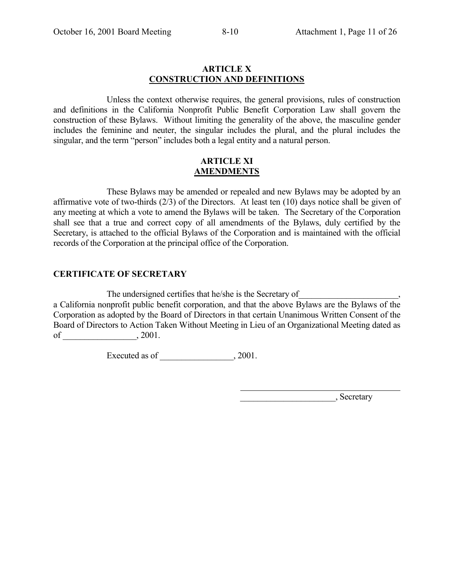# **ARTICLE X CONSTRUCTION AND DEFINITIONS**

Unless the context otherwise requires, the general provisions, rules of construction and definitions in the California Nonprofit Public Benefit Corporation Law shall govern the construction of these Bylaws. Without limiting the generality of the above, the masculine gender includes the feminine and neuter, the singular includes the plural, and the plural includes the singular, and the term "person" includes both a legal entity and a natural person.

### **ARTICLE XI AMENDMENTS**

These Bylaws may be amended or repealed and new Bylaws may be adopted by an affirmative vote of two-thirds (2/3) of the Directors. At least ten (10) days notice shall be given of any meeting at which a vote to amend the Bylaws will be taken. The Secretary of the Corporation shall see that a true and correct copy of all amendments of the Bylaws, duly certified by the Secretary, is attached to the official Bylaws of the Corporation and is maintained with the official records of the Corporation at the principal office of the Corporation.

# **CERTIFICATE OF SECRETARY**

The undersigned certifies that he/she is the Secretary of a California nonprofit public benefit corporation, and that the above Bylaws are the Bylaws of the Corporation as adopted by the Board of Directors in that certain Unanimous Written Consent of the Board of Directors to Action Taken Without Meeting in Lieu of an Organizational Meeting dated as of \_\_\_\_\_\_\_\_\_\_\_\_\_\_\_\_\_, 2001.

 $\overline{a}$ 

Executed as of \_\_\_\_\_\_\_\_\_\_\_\_\_\_\_\_\_, 2001.

 $\qquad \qquad \qquad$  Secretary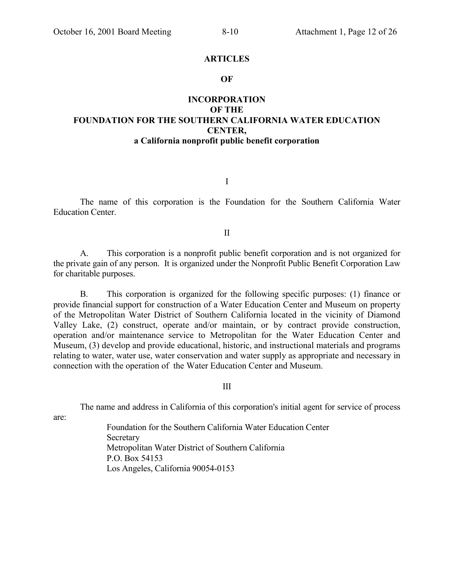#### **ARTICLES**

#### **OF**

# **INCORPORATION OF THE FOUNDATION FOR THE SOUTHERN CALIFORNIA WATER EDUCATION CENTER, a California nonprofit public benefit corporation**

I

The name of this corporation is the Foundation for the Southern California Water Education Center.

II

A. This corporation is a nonprofit public benefit corporation and is not organized for the private gain of any person. It is organized under the Nonprofit Public Benefit Corporation Law for charitable purposes.

B. This corporation is organized for the following specific purposes: (1) finance or provide financial support for construction of a Water Education Center and Museum on property of the Metropolitan Water District of Southern California located in the vicinity of Diamond Valley Lake, (2) construct, operate and/or maintain, or by contract provide construction, operation and/or maintenance service to Metropolitan for the Water Education Center and Museum, (3) develop and provide educational, historic, and instructional materials and programs relating to water, water use, water conservation and water supply as appropriate and necessary in connection with the operation of the Water Education Center and Museum.

III

The name and address in California of this corporation's initial agent for service of process

are:

Foundation for the Southern California Water Education Center **Secretary** Metropolitan Water District of Southern California P.O. Box 54153 Los Angeles, California 90054-0153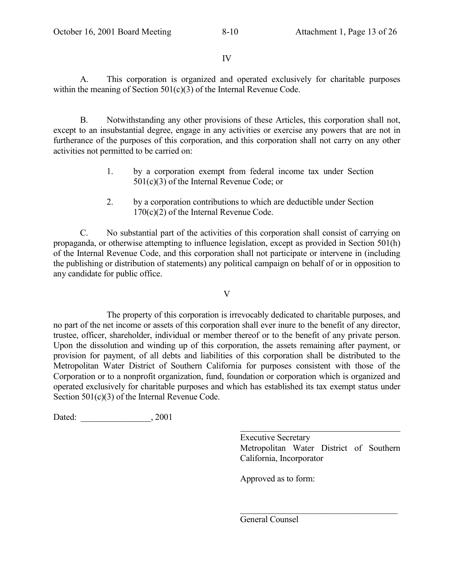IV

A. This corporation is organized and operated exclusively for charitable purposes within the meaning of Section 501(c)(3) of the Internal Revenue Code.

B. Notwithstanding any other provisions of these Articles, this corporation shall not, except to an insubstantial degree, engage in any activities or exercise any powers that are not in furtherance of the purposes of this corporation, and this corporation shall not carry on any other activities not permitted to be carried on:

- 1. by a corporation exempt from federal income tax under Section 501(c)(3) of the Internal Revenue Code; or
- 2. by a corporation contributions to which are deductible under Section 170(c)(2) of the Internal Revenue Code.

C. No substantial part of the activities of this corporation shall consist of carrying on propaganda, or otherwise attempting to influence legislation, except as provided in Section 501(h) of the Internal Revenue Code, and this corporation shall not participate or intervene in (including the publishing or distribution of statements) any political campaign on behalf of or in opposition to any candidate for public office.

V

The property of this corporation is irrevocably dedicated to charitable purposes, and no part of the net income or assets of this corporation shall ever inure to the benefit of any director, trustee, officer, shareholder, individual or member thereof or to the benefit of any private person. Upon the dissolution and winding up of this corporation, the assets remaining after payment, or provision for payment, of all debts and liabilities of this corporation shall be distributed to the Metropolitan Water District of Southern California for purposes consistent with those of the Corporation or to a nonprofit organization, fund, foundation or corporation which is organized and operated exclusively for charitable purposes and which has established its tax exempt status under Section 501(c)(3) of the Internal Revenue Code.

 $\overline{a}$ 

Dated:  $, 2001$ 

Executive Secretary Metropolitan Water District of Southern California, Incorporator

 $\mathcal{L}_\text{max}$  , where  $\mathcal{L}_\text{max}$  and  $\mathcal{L}_\text{max}$  and  $\mathcal{L}_\text{max}$ 

Approved as to form:

General Counsel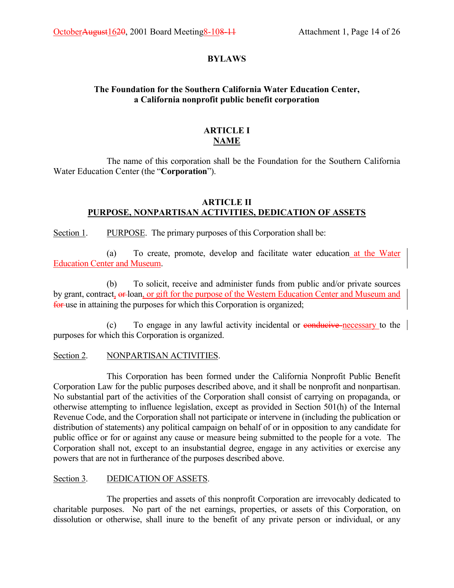# **BYLAWS**

# **The Foundation for the Southern California Water Education Center, a California nonprofit public benefit corporation**

# **ARTICLE I NAME**

The name of this corporation shall be the Foundation for the Southern California Water Education Center (the "Corporation").

# **ARTICLE II PURPOSE, NONPARTISAN ACTIVITIES, DEDICATION OF ASSETS**

Section 1. PURPOSE. The primary purposes of this Corporation shall be:

(a) To create, promote, develop and facilitate water education at the Water Education Center and Museum.

(b) To solicit, receive and administer funds from public and/or private sources by grant, contract,  $\theta$ -loan, or gift for the purpose of the Western Education Center and Museum and for use in attaining the purposes for which this Corporation is organized;

(c) To engage in any lawful activity incidental or conducive necessary to the purposes for which this Corporation is organized.

# Section 2. NONPARTISAN ACTIVITIES.

This Corporation has been formed under the California Nonprofit Public Benefit Corporation Law for the public purposes described above, and it shall be nonprofit and nonpartisan. No substantial part of the activities of the Corporation shall consist of carrying on propaganda, or otherwise attempting to influence legislation, except as provided in Section 501(h) of the Internal Revenue Code, and the Corporation shall not participate or intervene in (including the publication or distribution of statements) any political campaign on behalf of or in opposition to any candidate for public office or for or against any cause or measure being submitted to the people for a vote. The Corporation shall not, except to an insubstantial degree, engage in any activities or exercise any powers that are not in furtherance of the purposes described above.

# Section 3. DEDICATION OF ASSETS.

The properties and assets of this nonprofit Corporation are irrevocably dedicated to charitable purposes. No part of the net earnings, properties, or assets of this Corporation, on dissolution or otherwise, shall inure to the benefit of any private person or individual, or any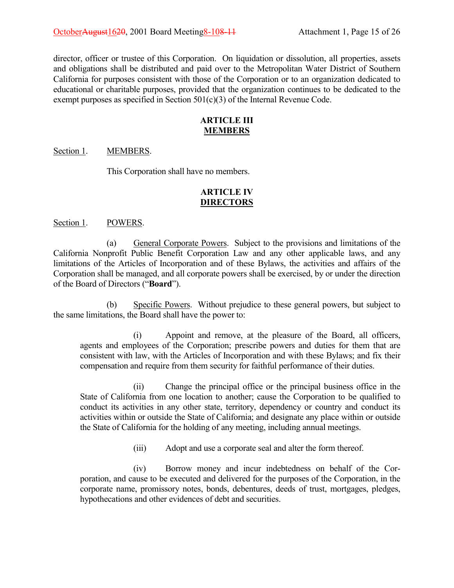director, officer or trustee of this Corporation. On liquidation or dissolution, all properties, assets and obligations shall be distributed and paid over to the Metropolitan Water District of Southern California for purposes consistent with those of the Corporation or to an organization dedicated to educational or charitable purposes, provided that the organization continues to be dedicated to the exempt purposes as specified in Section 501(c)(3) of the Internal Revenue Code.

# **ARTICLE III MEMBERS**

#### Section 1. MEMBERS.

This Corporation shall have no members.

# **ARTICLE IV DIRECTORS**

#### Section 1. POWERS.

(a) General Corporate Powers. Subject to the provisions and limitations of the California Nonprofit Public Benefit Corporation Law and any other applicable laws, and any limitations of the Articles of Incorporation and of these Bylaws, the activities and affairs of the Corporation shall be managed, and all corporate powers shall be exercised, by or under the direction of the Board of Directors ("**Board**").

(b) Specific Powers. Without prejudice to these general powers, but subject to the same limitations, the Board shall have the power to:

(i) Appoint and remove, at the pleasure of the Board, all officers, agents and employees of the Corporation; prescribe powers and duties for them that are consistent with law, with the Articles of Incorporation and with these Bylaws; and fix their compensation and require from them security for faithful performance of their duties.

(ii) Change the principal office or the principal business office in the State of California from one location to another; cause the Corporation to be qualified to conduct its activities in any other state, territory, dependency or country and conduct its activities within or outside the State of California; and designate any place within or outside the State of California for the holding of any meeting, including annual meetings.

(iii) Adopt and use a corporate seal and alter the form thereof.

(iv) Borrow money and incur indebtedness on behalf of the Corporation, and cause to be executed and delivered for the purposes of the Corporation, in the corporate name, promissory notes, bonds, debentures, deeds of trust, mortgages, pledges, hypothecations and other evidences of debt and securities.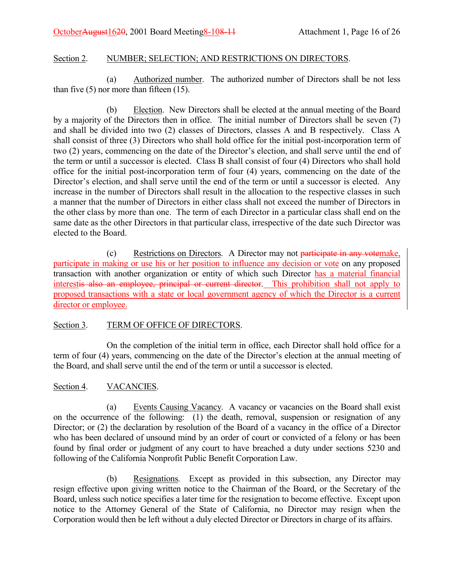# Section 2. NUMBER; SELECTION; AND RESTRICTIONS ON DIRECTORS.

(a) Authorized number. The authorized number of Directors shall be not less than five  $(5)$  nor more than fifteen  $(15)$ .

(b) Election. New Directors shall be elected at the annual meeting of the Board by a majority of the Directors then in office. The initial number of Directors shall be seven (7) and shall be divided into two (2) classes of Directors, classes A and B respectively. Class A shall consist of three (3) Directors who shall hold office for the initial post-incorporation term of two (2) years, commencing on the date of the Director's election, and shall serve until the end of the term or until a successor is elected. Class B shall consist of four (4) Directors who shall hold office for the initial post-incorporation term of four (4) years, commencing on the date of the Director's election, and shall serve until the end of the term or until a successor is elected. Any increase in the number of Directors shall result in the allocation to the respective classes in such a manner that the number of Directors in either class shall not exceed the number of Directors in the other class by more than one. The term of each Director in a particular class shall end on the same date as the other Directors in that particular class, irrespective of the date such Director was elected to the Board.

(c) Restrictions on Directors. A Director may not participate in any votemake, participate in making or use his or her position to influence any decision or vote on any proposed transaction with another organization or entity of which such Director has a material financial interestis also an employee, principal or current director. This prohibition shall not apply to proposed transactions with a state or local government agency of which the Director is a current director or employee.

# Section 3. TERM OF OFFICE OF DIRECTORS.

On the completion of the initial term in office, each Director shall hold office for a term of four (4) years, commencing on the date of the Director's election at the annual meeting of the Board, and shall serve until the end of the term or until a successor is elected.

# Section 4. VACANCIES.

(a) Events Causing Vacancy. A vacancy or vacancies on the Board shall exist on the occurrence of the following: (1) the death, removal, suspension or resignation of any Director; or (2) the declaration by resolution of the Board of a vacancy in the office of a Director who has been declared of unsound mind by an order of court or convicted of a felony or has been found by final order or judgment of any court to have breached a duty under sections 5230 and following of the California Nonprofit Public Benefit Corporation Law.

(b) Resignations. Except as provided in this subsection, any Director may resign effective upon giving written notice to the Chairman of the Board, or the Secretary of the Board, unless such notice specifies a later time for the resignation to become effective. Except upon notice to the Attorney General of the State of California, no Director may resign when the Corporation would then be left without a duly elected Director or Directors in charge of its affairs.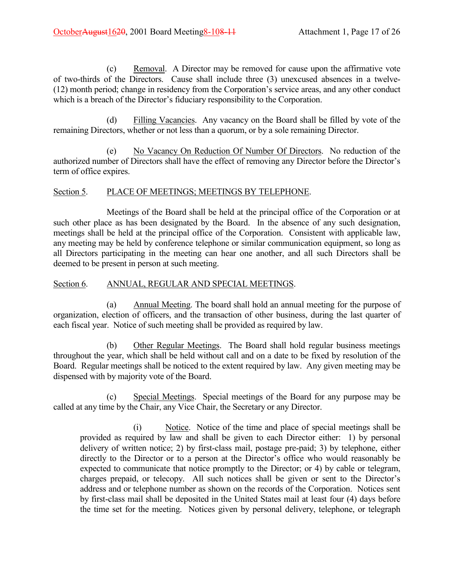(c) Removal. A Director may be removed for cause upon the affirmative vote of two-thirds of the Directors. Cause shall include three (3) unexcused absences in a twelve-  $(12)$  month period; change in residency from the Corporation's service areas, and any other conduct which is a breach of the Director's fiduciary responsibility to the Corporation.

(d) Filling Vacancies. Any vacancy on the Board shall be filled by vote of the remaining Directors, whether or not less than a quorum, or by a sole remaining Director.

(e) No Vacancy On Reduction Of Number Of Directors. No reduction of the authorized number of Directors shall have the effect of removing any Director before the Director's term of office expires.

# Section 5. PLACE OF MEETINGS; MEETINGS BY TELEPHONE.

Meetings of the Board shall be held at the principal office of the Corporation or at such other place as has been designated by the Board. In the absence of any such designation, meetings shall be held at the principal office of the Corporation. Consistent with applicable law, any meeting may be held by conference telephone or similar communication equipment, so long as all Directors participating in the meeting can hear one another, and all such Directors shall be deemed to be present in person at such meeting.

# Section 6. ANNUAL, REGULAR AND SPECIAL MEETINGS.

(a) Annual Meeting. The board shall hold an annual meeting for the purpose of organization, election of officers, and the transaction of other business, during the last quarter of each fiscal year. Notice of such meeting shall be provided as required by law.

(b) Other Regular Meetings. The Board shall hold regular business meetings throughout the year, which shall be held without call and on a date to be fixed by resolution of the Board. Regular meetings shall be noticed to the extent required by law. Any given meeting may be dispensed with by majority vote of the Board.

(c) Special Meetings. Special meetings of the Board for any purpose may be called at any time by the Chair, any Vice Chair, the Secretary or any Director.

(i) Notice. Notice of the time and place of special meetings shall be provided as required by law and shall be given to each Director either: 1) by personal delivery of written notice; 2) by first-class mail, postage pre-paid; 3) by telephone, either directly to the Director or to a person at the Director's office who would reasonably be expected to communicate that notice promptly to the Director; or 4) by cable or telegram, charges prepaid, or telecopy. All such notices shall be given or sent to the Director's address and or telephone number as shown on the records of the Corporation. Notices sent by first-class mail shall be deposited in the United States mail at least four (4) days before the time set for the meeting. Notices given by personal delivery, telephone, or telegraph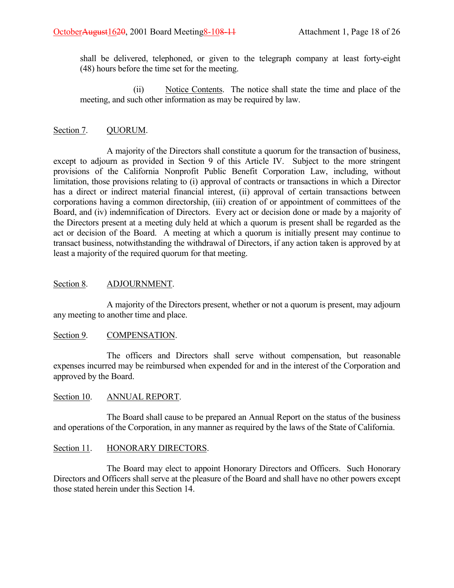shall be delivered, telephoned, or given to the telegraph company at least forty-eight (48) hours before the time set for the meeting.

(ii) Notice Contents. The notice shall state the time and place of the meeting, and such other information as may be required by law.

# Section 7. QUORUM.

A majority of the Directors shall constitute a quorum for the transaction of business, except to adjourn as provided in Section 9 of this Article IV. Subject to the more stringent provisions of the California Nonprofit Public Benefit Corporation Law, including, without limitation, those provisions relating to (i) approval of contracts or transactions in which a Director has a direct or indirect material financial interest, (ii) approval of certain transactions between corporations having a common directorship, (iii) creation of or appointment of committees of the Board, and (iv) indemnification of Directors. Every act or decision done or made by a majority of the Directors present at a meeting duly held at which a quorum is present shall be regarded as the act or decision of the Board. A meeting at which a quorum is initially present may continue to transact business, notwithstanding the withdrawal of Directors, if any action taken is approved by at least a majority of the required quorum for that meeting.

# Section 8. ADJOURNMENT.

A majority of the Directors present, whether or not a quorum is present, may adjourn any meeting to another time and place.

# Section 9. COMPENSATION.

The officers and Directors shall serve without compensation, but reasonable expenses incurred may be reimbursed when expended for and in the interest of the Corporation and approved by the Board.

# Section 10. ANNUAL REPORT.

The Board shall cause to be prepared an Annual Report on the status of the business and operations of the Corporation, in any manner as required by the laws of the State of California.

# Section 11. HONORARY DIRECTORS.

The Board may elect to appoint Honorary Directors and Officers. Such Honorary Directors and Officers shall serve at the pleasure of the Board and shall have no other powers except those stated herein under this Section 14.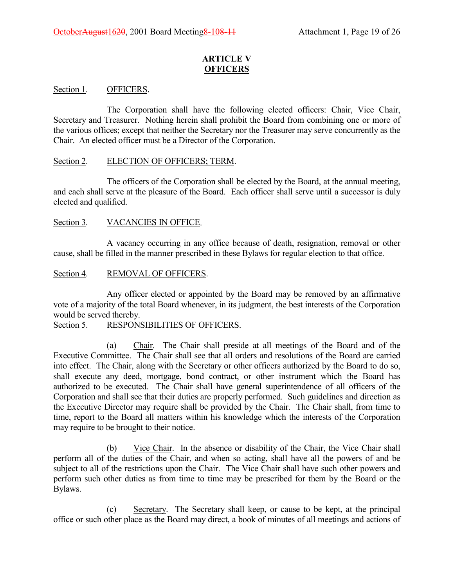# **ARTICLE V OFFICERS**

# Section 1. OFFICERS.

The Corporation shall have the following elected officers: Chair, Vice Chair, Secretary and Treasurer. Nothing herein shall prohibit the Board from combining one or more of the various offices; except that neither the Secretary nor the Treasurer may serve concurrently as the Chair. An elected officer must be a Director of the Corporation.

#### Section 2. ELECTION OF OFFICERS; TERM.

The officers of the Corporation shall be elected by the Board, at the annual meeting, and each shall serve at the pleasure of the Board. Each officer shall serve until a successor is duly elected and qualified.

#### Section 3. VACANCIES IN OFFICE.

A vacancy occurring in any office because of death, resignation, removal or other cause, shall be filled in the manner prescribed in these Bylaws for regular election to that office.

#### Section 4. REMOVAL OF OFFICERS.

Any officer elected or appointed by the Board may be removed by an affirmative vote of a majority of the total Board whenever, in its judgment, the best interests of the Corporation would be served thereby.

# Section 5. RESPONSIBILITIES OF OFFICERS.

(a) Chair. The Chair shall preside at all meetings of the Board and of the Executive Committee. The Chair shall see that all orders and resolutions of the Board are carried into effect. The Chair, along with the Secretary or other officers authorized by the Board to do so, shall execute any deed, mortgage, bond contract, or other instrument which the Board has authorized to be executed. The Chair shall have general superintendence of all officers of the Corporation and shall see that their duties are properly performed. Such guidelines and direction as the Executive Director may require shall be provided by the Chair. The Chair shall, from time to time, report to the Board all matters within his knowledge which the interests of the Corporation may require to be brought to their notice.

(b) Vice Chair. In the absence or disability of the Chair, the Vice Chair shall perform all of the duties of the Chair, and when so acting, shall have all the powers of and be subject to all of the restrictions upon the Chair. The Vice Chair shall have such other powers and perform such other duties as from time to time may be prescribed for them by the Board or the Bylaws.

(c) Secretary. The Secretary shall keep, or cause to be kept, at the principal office or such other place as the Board may direct, a book of minutes of all meetings and actions of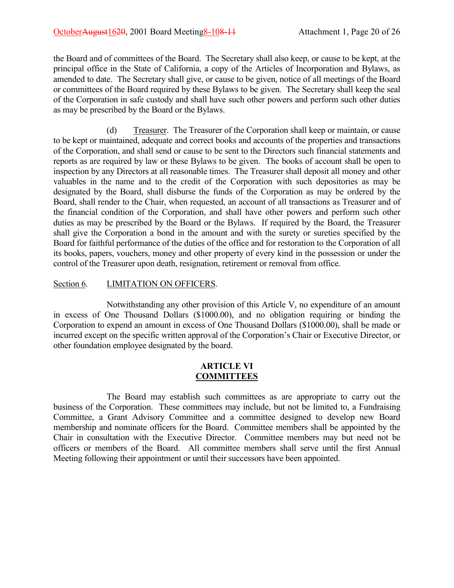the Board and of committees of the Board. The Secretary shall also keep, or cause to be kept, at the principal office in the State of California, a copy of the Articles of Incorporation and Bylaws, as amended to date. The Secretary shall give, or cause to be given, notice of all meetings of the Board or committees of the Board required by these Bylaws to be given. The Secretary shall keep the seal of the Corporation in safe custody and shall have such other powers and perform such other duties as may be prescribed by the Board or the Bylaws.

(d) Treasurer. The Treasurer of the Corporation shall keep or maintain, or cause to be kept or maintained, adequate and correct books and accounts of the properties and transactions of the Corporation, and shall send or cause to be sent to the Directors such financial statements and reports as are required by law or these Bylaws to be given. The books of account shall be open to inspection by any Directors at all reasonable times. The Treasurer shall deposit all money and other valuables in the name and to the credit of the Corporation with such depositories as may be designated by the Board, shall disburse the funds of the Corporation as may be ordered by the Board, shall render to the Chair, when requested, an account of all transactions as Treasurer and of the financial condition of the Corporation, and shall have other powers and perform such other duties as may be prescribed by the Board or the Bylaws. If required by the Board, the Treasurer shall give the Corporation a bond in the amount and with the surety or sureties specified by the Board for faithful performance of the duties of the office and for restoration to the Corporation of all its books, papers, vouchers, money and other property of every kind in the possession or under the control of the Treasurer upon death, resignation, retirement or removal from office.

# Section 6. LIMITATION ON OFFICERS.

Notwithstanding any other provision of this Article V, no expenditure of an amount in excess of One Thousand Dollars (\$1000.00), and no obligation requiring or binding the Corporation to expend an amount in excess of One Thousand Dollars (\$1000.00), shall be made or incurred except on the specific written approval of the Corporation's Chair or Executive Director, or other foundation employee designated by the board.

# **ARTICLE VI COMMITTEES**

The Board may establish such committees as are appropriate to carry out the business of the Corporation. These committees may include, but not be limited to, a Fundraising Committee, a Grant Advisory Committee and a committee designed to develop new Board membership and nominate officers for the Board. Committee members shall be appointed by the Chair in consultation with the Executive Director. Committee members may but need not be officers or members of the Board. All committee members shall serve until the first Annual Meeting following their appointment or until their successors have been appointed.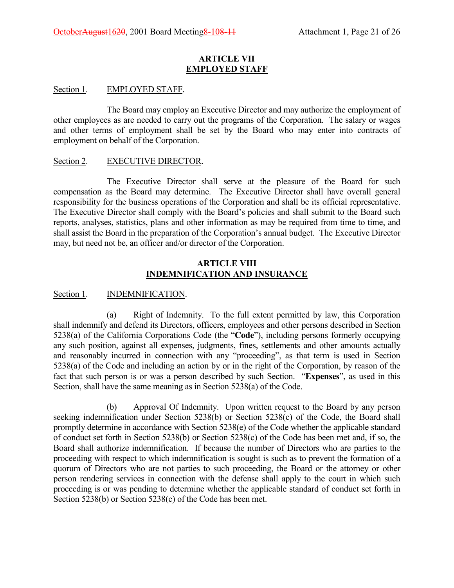#### **ARTICLE VII EMPLOYED STAFF**

#### Section 1. EMPLOYED STAFF.

The Board may employ an Executive Director and may authorize the employment of other employees as are needed to carry out the programs of the Corporation. The salary or wages and other terms of employment shall be set by the Board who may enter into contracts of employment on behalf of the Corporation.

#### Section 2. EXECUTIVE DIRECTOR.

The Executive Director shall serve at the pleasure of the Board for such compensation as the Board may determine. The Executive Director shall have overall general responsibility for the business operations of the Corporation and shall be its official representative. The Executive Director shall comply with the Board's policies and shall submit to the Board such reports, analyses, statistics, plans and other information as may be required from time to time, and shall assist the Board in the preparation of the Corporation's annual budget. The Executive Director may, but need not be, an officer and/or director of the Corporation.

# **ARTICLE VIII INDEMNIFICATION AND INSURANCE**

### Section 1. **INDEMNIFICATION.**

(a) Right of Indemnity. To the full extent permitted by law, this Corporation shall indemnify and defend its Directors, officers, employees and other persons described in Section 5238(a) of the California Corporations Code (the "**Code**"), including persons formerly occupying any such position, against all expenses, judgments, fines, settlements and other amounts actually and reasonably incurred in connection with any "proceeding", as that term is used in Section 5238(a) of the Code and including an action by or in the right of the Corporation, by reason of the fact that such person is or was a person described by such Section. "Expenses", as used in this Section, shall have the same meaning as in Section 5238(a) of the Code.

(b) Approval Of Indemnity. Upon written request to the Board by any person seeking indemnification under Section 5238(b) or Section 5238(c) of the Code, the Board shall promptly determine in accordance with Section 5238(e) of the Code whether the applicable standard of conduct set forth in Section 5238(b) or Section 5238(c) of the Code has been met and, if so, the Board shall authorize indemnification. If because the number of Directors who are parties to the proceeding with respect to which indemnification is sought is such as to prevent the formation of a quorum of Directors who are not parties to such proceeding, the Board or the attorney or other person rendering services in connection with the defense shall apply to the court in which such proceeding is or was pending to determine whether the applicable standard of conduct set forth in Section 5238(b) or Section 5238(c) of the Code has been met.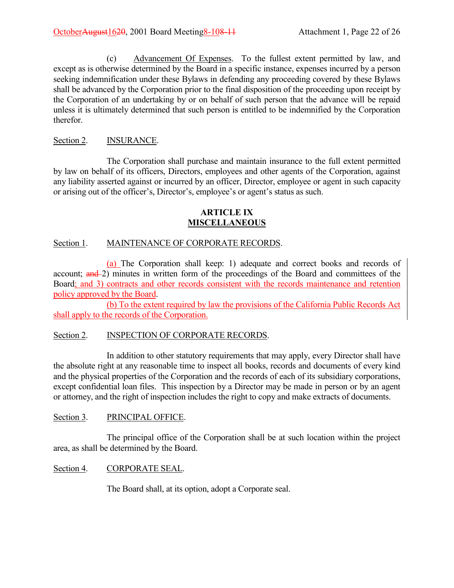(c) Advancement Of Expenses. To the fullest extent permitted by law, and except as is otherwise determined by the Board in a specific instance, expenses incurred by a person seeking indemnification under these Bylaws in defending any proceeding covered by these Bylaws shall be advanced by the Corporation prior to the final disposition of the proceeding upon receipt by the Corporation of an undertaking by or on behalf of such person that the advance will be repaid unless it is ultimately determined that such person is entitled to be indemnified by the Corporation therefor.

# Section 2. **INSURANCE.**

The Corporation shall purchase and maintain insurance to the full extent permitted by law on behalf of its officers, Directors, employees and other agents of the Corporation, against any liability asserted against or incurred by an officer, Director, employee or agent in such capacity or arising out of the officer's, Director's, employee's or agent's status as such.

# **ARTICLE IX MISCELLANEOUS**

# Section 1. MAINTENANCE OF CORPORATE RECORDS.

(a) The Corporation shall keep: 1) adequate and correct books and records of account; and 2) minutes in written form of the proceedings of the Board and committees of the Board; and 3) contracts and other records consistent with the records maintenance and retention policy approved by the Board.

(b) To the extent required by law the provisions of the California Public Records Act shall apply to the records of the Corporation.

# Section 2. **INSPECTION OF CORPORATE RECORDS.**

In addition to other statutory requirements that may apply, every Director shall have the absolute right at any reasonable time to inspect all books, records and documents of every kind and the physical properties of the Corporation and the records of each of its subsidiary corporations, except confidential loan files. This inspection by a Director may be made in person or by an agent or attorney, and the right of inspection includes the right to copy and make extracts of documents.

# Section 3. PRINCIPAL OFFICE.

The principal office of the Corporation shall be at such location within the project area, as shall be determined by the Board.

# Section 4. CORPORATE SEAL.

The Board shall, at its option, adopt a Corporate seal.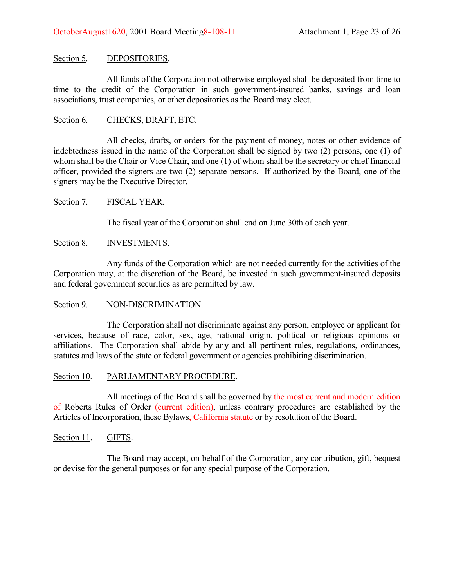# Section 5. DEPOSITORIES.

All funds of the Corporation not otherwise employed shall be deposited from time to time to the credit of the Corporation in such government-insured banks, savings and loan associations, trust companies, or other depositories as the Board may elect.

# Section 6. CHECKS, DRAFT, ETC.

All checks, drafts, or orders for the payment of money, notes or other evidence of indebtedness issued in the name of the Corporation shall be signed by two (2) persons, one (1) of whom shall be the Chair or Vice Chair, and one (1) of whom shall be the secretary or chief financial officer, provided the signers are two (2) separate persons. If authorized by the Board, one of the signers may be the Executive Director.

# Section 7. FISCAL YEAR.

The fiscal year of the Corporation shall end on June 30th of each year.

# Section 8. **INVESTMENTS.**

Any funds of the Corporation which are not needed currently for the activities of the Corporation may, at the discretion of the Board, be invested in such government-insured deposits and federal government securities as are permitted by law.

# Section 9. NON-DISCRIMINATION.

The Corporation shall not discriminate against any person, employee or applicant for services, because of race, color, sex, age, national origin, political or religious opinions or affiliations. The Corporation shall abide by any and all pertinent rules, regulations, ordinances, statutes and laws of the state or federal government or agencies prohibiting discrimination.

# Section 10. PARLIAMENTARY PROCEDURE.

All meetings of the Board shall be governed by the most current and modern edition of Roberts Rules of Order (current edition), unless contrary procedures are established by the Articles of Incorporation, these Bylaws, California statute or by resolution of the Board.

# Section 11. GIFTS.

The Board may accept, on behalf of the Corporation, any contribution, gift, bequest or devise for the general purposes or for any special purpose of the Corporation.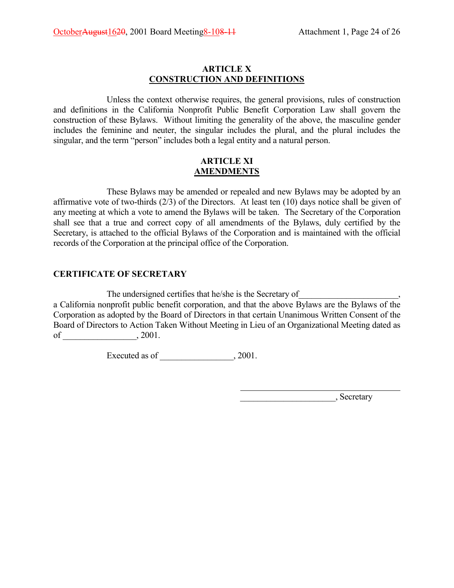# **ARTICLE X CONSTRUCTION AND DEFINITIONS**

Unless the context otherwise requires, the general provisions, rules of construction and definitions in the California Nonprofit Public Benefit Corporation Law shall govern the construction of these Bylaws. Without limiting the generality of the above, the masculine gender includes the feminine and neuter, the singular includes the plural, and the plural includes the singular, and the term "person" includes both a legal entity and a natural person.

### **ARTICLE XI AMENDMENTS**

These Bylaws may be amended or repealed and new Bylaws may be adopted by an affirmative vote of two-thirds (2/3) of the Directors. At least ten (10) days notice shall be given of any meeting at which a vote to amend the Bylaws will be taken. The Secretary of the Corporation shall see that a true and correct copy of all amendments of the Bylaws, duly certified by the Secretary, is attached to the official Bylaws of the Corporation and is maintained with the official records of the Corporation at the principal office of the Corporation.

# **CERTIFICATE OF SECRETARY**

The undersigned certifies that he/she is the Secretary of a California nonprofit public benefit corporation, and that the above Bylaws are the Bylaws of the Corporation as adopted by the Board of Directors in that certain Unanimous Written Consent of the Board of Directors to Action Taken Without Meeting in Lieu of an Organizational Meeting dated as of \_\_\_\_\_\_\_\_\_\_\_\_\_\_\_\_\_, 2001.

 $\overline{a}$ 

Executed as of \_\_\_\_\_\_\_\_\_\_\_\_\_\_\_\_\_, 2001.

 $\qquad \qquad \qquad$  Secretary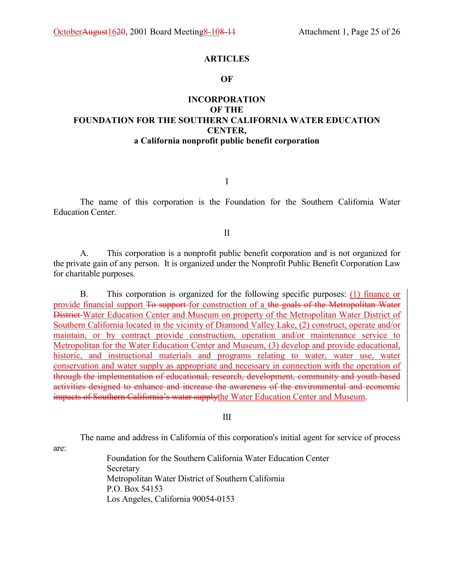#### **ARTICLES**

#### **OF**

# **INCORPORATION OF THE FOUNDATION FOR THE SOUTHERN CALIFORNIA WATER EDUCATION CENTER, a California nonprofit public benefit corporation**

I

The name of this corporation is the Foundation for the Southern California Water Education Center.

II

A. This corporation is a nonprofit public benefit corporation and is not organized for the private gain of any person. It is organized under the Nonprofit Public Benefit Corporation Law for charitable purposes.

B. This corporation is organized for the following specific purposes: (1) finance or provide financial support To support for construction of a the goals of the Metropolitan Water District Water Education Center and Museum on property of the Metropolitan Water District of Southern California located in the vicinity of Diamond Valley Lake, (2) construct, operate and/or maintain, or by contract provide construction, operation and/or maintenance service to Metropolitan for the Water Education Center and Museum, (3) develop and provide educational, historic, and instructional materials and programs relating to water, water use, water conservation and water supply as appropriate and necessary in connection with the operation of through the implementation of educational, research, development, community and youth-based activities designed to enhance and increase the awareness of the environmental and economic impacts of Southern California's water supplythe Water Education Center and Museum.

III

The name and address in California of this corporation's initial agent for service of process

are:

Foundation for the Southern California Water Education Center **Secretary** Metropolitan Water District of Southern California P.O. Box 54153 Los Angeles, California 90054-0153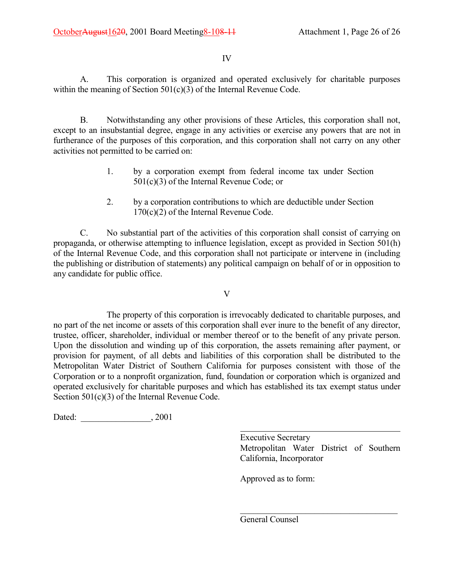### IV

A. This corporation is organized and operated exclusively for charitable purposes within the meaning of Section 501(c)(3) of the Internal Revenue Code.

B. Notwithstanding any other provisions of these Articles, this corporation shall not, except to an insubstantial degree, engage in any activities or exercise any powers that are not in furtherance of the purposes of this corporation, and this corporation shall not carry on any other activities not permitted to be carried on:

- 1. by a corporation exempt from federal income tax under Section 501(c)(3) of the Internal Revenue Code; or
- 2. by a corporation contributions to which are deductible under Section 170(c)(2) of the Internal Revenue Code.

C. No substantial part of the activities of this corporation shall consist of carrying on propaganda, or otherwise attempting to influence legislation, except as provided in Section 501(h) of the Internal Revenue Code, and this corporation shall not participate or intervene in (including the publishing or distribution of statements) any political campaign on behalf of or in opposition to any candidate for public office.

V

The property of this corporation is irrevocably dedicated to charitable purposes, and no part of the net income or assets of this corporation shall ever inure to the benefit of any director, trustee, officer, shareholder, individual or member thereof or to the benefit of any private person. Upon the dissolution and winding up of this corporation, the assets remaining after payment, or provision for payment, of all debts and liabilities of this corporation shall be distributed to the Metropolitan Water District of Southern California for purposes consistent with those of the Corporation or to a nonprofit organization, fund, foundation or corporation which is organized and operated exclusively for charitable purposes and which has established its tax exempt status under Section 501(c)(3) of the Internal Revenue Code.

 $\overline{a}$ 

Dated:  $, 2001$ 

Executive Secretary Metropolitan Water District of Southern California, Incorporator

 $\mathcal{L}_\text{max}$  , where  $\mathcal{L}_\text{max}$  and  $\mathcal{L}_\text{max}$  and  $\mathcal{L}_\text{max}$ 

Approved as to form:

General Counsel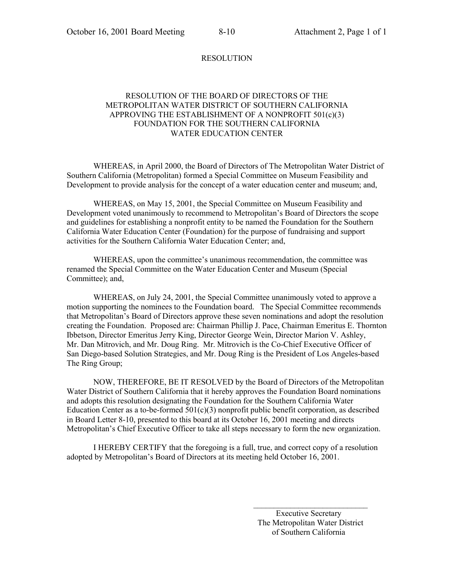#### RESOLUTION

#### RESOLUTION OF THE BOARD OF DIRECTORS OF THE METROPOLITAN WATER DISTRICT OF SOUTHERN CALIFORNIA APPROVING THE ESTABLISHMENT OF A NONPROFIT 501(c)(3) FOUNDATION FOR THE SOUTHERN CALIFORNIA WATER EDUCATION CENTER

WHEREAS, in April 2000, the Board of Directors of The Metropolitan Water District of Southern California (Metropolitan) formed a Special Committee on Museum Feasibility and Development to provide analysis for the concept of a water education center and museum; and,

WHEREAS, on May 15, 2001, the Special Committee on Museum Feasibility and Development voted unanimously to recommend to Metropolitan's Board of Directors the scope and guidelines for establishing a nonprofit entity to be named the Foundation for the Southern California Water Education Center (Foundation) for the purpose of fundraising and support activities for the Southern California Water Education Center; and,

WHEREAS, upon the committee's unanimous recommendation, the committee was renamed the Special Committee on the Water Education Center and Museum (Special Committee); and,

WHEREAS, on July 24, 2001, the Special Committee unanimously voted to approve a motion supporting the nominees to the Foundation board. The Special Committee recommends that Metropolitanís Board of Directors approve these seven nominations and adopt the resolution creating the Foundation. Proposed are: Chairman Phillip J. Pace, Chairman Emeritus E. Thornton Ibbetson, Director Emeritus Jerry King, Director George Wein, Director Marion V. Ashley, Mr. Dan Mitrovich, and Mr. Doug Ring. Mr. Mitrovich is the Co-Chief Executive Officer of San Diego-based Solution Strategies, and Mr. Doug Ring is the President of Los Angeles-based The Ring Group;

NOW, THEREFORE, BE IT RESOLVED by the Board of Directors of the Metropolitan Water District of Southern California that it hereby approves the Foundation Board nominations and adopts this resolution designating the Foundation for the Southern California Water Education Center as a to-be-formed  $501(c)(3)$  nonprofit public benefit corporation, as described in Board Letter 8-10, presented to this board at its October 16, 2001 meeting and directs Metropolitan's Chief Executive Officer to take all steps necessary to form the new organization.

I HEREBY CERTIFY that the foregoing is a full, true, and correct copy of a resolution adopted by Metropolitan's Board of Directors at its meeting held October 16, 2001.

> Executive Secretary The Metropolitan Water District of Southern California

 $\mathcal{L}_\text{max}$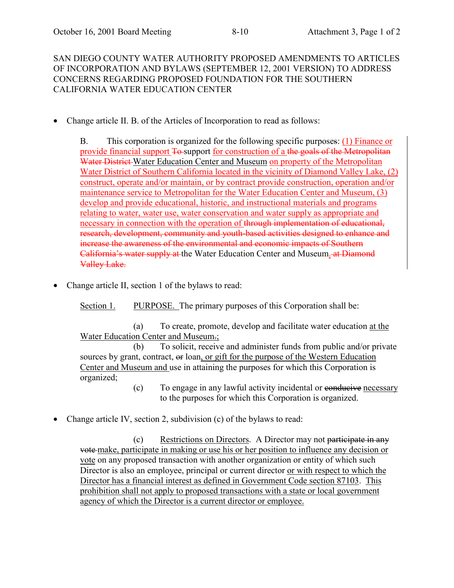SAN DIEGO COUNTY WATER AUTHORITY PROPOSED AMENDMENTS TO ARTICLES OF INCORPORATION AND BYLAWS (SEPTEMBER 12, 2001 VERSION) TO ADDRESS CONCERNS REGARDING PROPOSED FOUNDATION FOR THE SOUTHERN CALIFORNIA WATER EDUCATION CENTER

• Change article II. B. of the Articles of Incorporation to read as follows:

B. This corporation is organized for the following specific purposes: (1) Finance or provide financial support To-support for construction of a the goals of the Metropolitan Water District Water Education Center and Museum on property of the Metropolitan Water District of Southern California located in the vicinity of Diamond Valley Lake, (2) construct, operate and/or maintain, or by contract provide construction, operation and/or maintenance service to Metropolitan for the Water Education Center and Museum, (3) develop and provide educational, historic, and instructional materials and programs relating to water, water use, water conservation and water supply as appropriate and necessary in connection with the operation of through implementation of educational, research, development, community and youth-based activities designed to enhance and increase the awareness of the environmental and economic impacts of Southern California's water supply at the Water Education Center and Museum. at Diamond Valley Lake.

• Change article II, section 1 of the bylaws to read:

Section 1. PURPOSE. The primary purposes of this Corporation shall be:

(a) To create, promote, develop and facilitate water education at the Water Education Center and Museum.;

(b) To solicit, receive and administer funds from public and/or private sources by grant, contract,  $\Theta$  loan, or gift for the purpose of the Western Education Center and Museum and use in attaining the purposes for which this Corporation is organized;

- (c) To engage in any lawful activity incidental or conducive necessary to the purposes for which this Corporation is organized.
- Change article IV, section 2, subdivision (c) of the bylaws to read:

(c) Restrictions on Directors. A Director may not participate in any vote make, participate in making or use his or her position to influence any decision or vote on any proposed transaction with another organization or entity of which such Director is also an employee, principal or current director or with respect to which the Director has a financial interest as defined in Government Code section 87103. This prohibition shall not apply to proposed transactions with a state or local government agency of which the Director is a current director or employee.